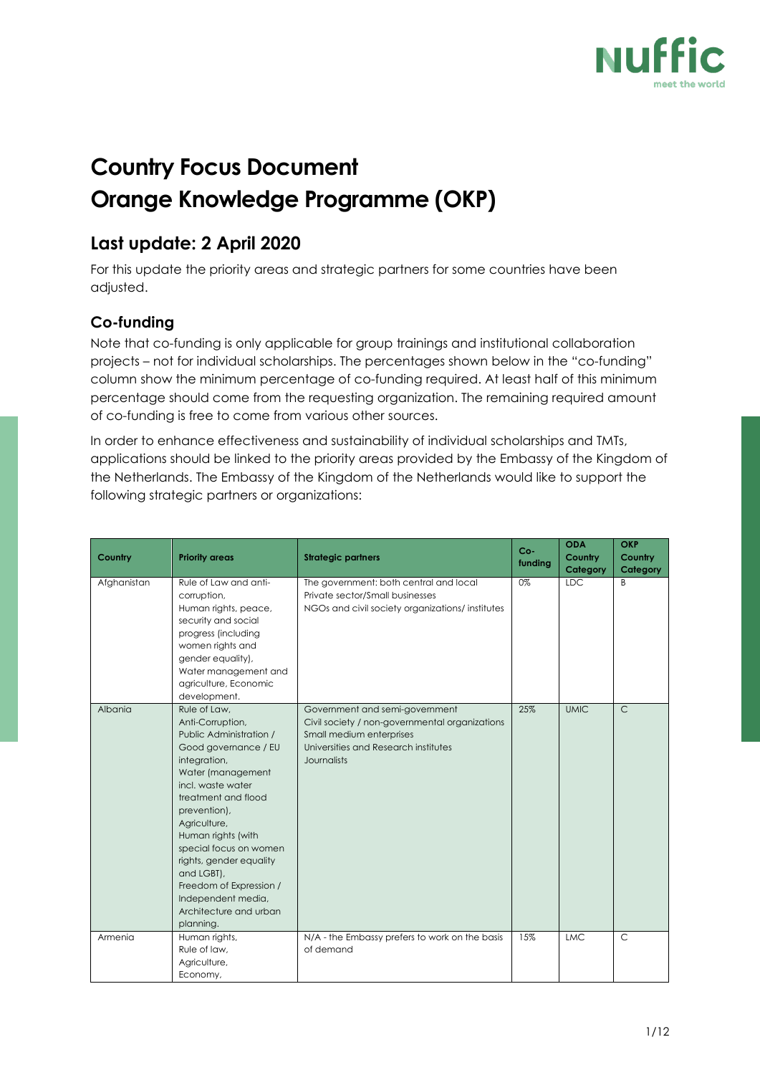

## **Country Focus Document Orange Knowledge Programme (OKP)**

## **Last update: 2 April 2020**

For this update the priority areas and strategic partners for some countries have been adjusted.

## **Co-funding**

Note that co-funding is only applicable for group trainings and institutional collaboration projects – not for individual scholarships. The percentages shown below in the "co-funding" column show the minimum percentage of co-funding required. At least half of this minimum percentage should come from the requesting organization. The remaining required amount of co-funding is free to come from various other sources.

In order to enhance effectiveness and sustainability of individual scholarships and TMTs, applications should be linked to the priority areas provided by the Embassy of the Kingdom of the Netherlands. The Embassy of the Kingdom of the Netherlands would like to support the following strategic partners or organizations:

| Country     | <b>Priority areas</b>                                                                                                                                                                                                                                                                                                                                                                 | <b>Strategic partners</b>                                                                                                                                           | $Co-$<br>funding | <b>ODA</b><br>Country<br>Category | <b>OKP</b><br>Country<br>Category |
|-------------|---------------------------------------------------------------------------------------------------------------------------------------------------------------------------------------------------------------------------------------------------------------------------------------------------------------------------------------------------------------------------------------|---------------------------------------------------------------------------------------------------------------------------------------------------------------------|------------------|-----------------------------------|-----------------------------------|
| Afghanistan | Rule of Law and anti-<br>corruption,<br>Human rights, peace,<br>security and social<br>progress (including<br>women rights and<br>gender equality),<br>Water management and<br>agriculture, Economic<br>development.                                                                                                                                                                  | The government: both central and local<br>Private sector/Small businesses<br>NGOs and civil society organizations/institutes                                        | 0%               | <b>LDC</b>                        | B                                 |
| Albania     | Rule of Law,<br>Anti-Corruption,<br>Public Administration /<br>Good governance / EU<br>integration,<br>Water (management<br>incl. waste water<br>treatment and flood<br>prevention),<br>Agriculture,<br>Human rights (with<br>special focus on women<br>rights, gender equality<br>and LGBT),<br>Freedom of Expression /<br>Independent media,<br>Architecture and urban<br>planning. | Government and semi-government<br>Civil society / non-governmental organizations<br>Small medium enterprises<br>Universities and Research institutes<br>Journalists | 25%              | <b>UMIC</b>                       | $\mathsf{C}$                      |
| Armenia     | Human rights,<br>Rule of law,<br>Agriculture,<br>Economy,                                                                                                                                                                                                                                                                                                                             | N/A - the Embassy prefers to work on the basis<br>of demand                                                                                                         | 15%              | <b>LMC</b>                        | $\mathsf{C}$                      |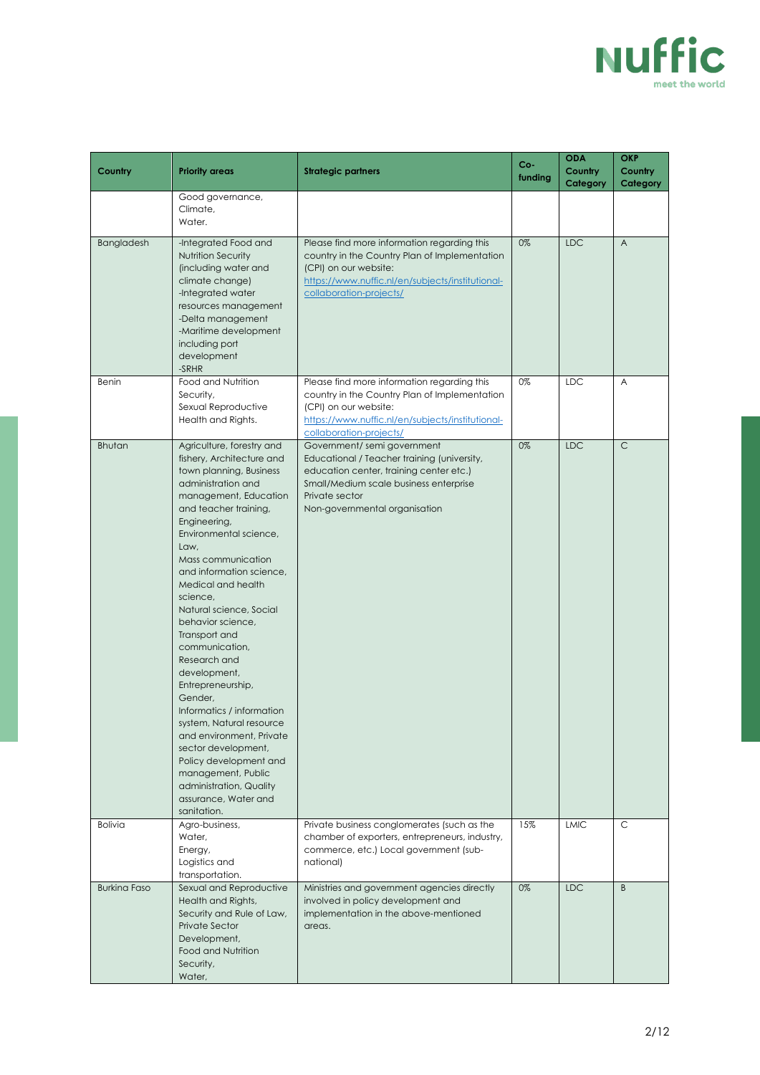

| Country             | <b>Priority areas</b>                                                                                                                                                                                                                                                                                                                                                                                                                                                                                                                                                                                                                                                            | <b>Strategic partners</b>                                                                                                                                                                                          | Co-<br>funding | <b>ODA</b><br>Country<br>Category | <b>OKP</b><br>Country<br>Category |
|---------------------|----------------------------------------------------------------------------------------------------------------------------------------------------------------------------------------------------------------------------------------------------------------------------------------------------------------------------------------------------------------------------------------------------------------------------------------------------------------------------------------------------------------------------------------------------------------------------------------------------------------------------------------------------------------------------------|--------------------------------------------------------------------------------------------------------------------------------------------------------------------------------------------------------------------|----------------|-----------------------------------|-----------------------------------|
|                     | Good governance,<br>Climate,<br>Water.                                                                                                                                                                                                                                                                                                                                                                                                                                                                                                                                                                                                                                           |                                                                                                                                                                                                                    |                |                                   |                                   |
| Bangladesh          | -Integrated Food and<br>Nutrition Security<br>(including water and<br>climate change)<br>-Integrated water<br>resources management<br>-Delta management<br>-Maritime development<br>including port<br>development<br>-SRHR                                                                                                                                                                                                                                                                                                                                                                                                                                                       | Please find more information regarding this<br>country in the Country Plan of Implementation<br>(CPI) on our website:<br>https://www.nuffic.nl/en/subjects/institutional-<br>collaboration-projects/               | 0%             | <b>LDC</b>                        | A                                 |
| Benin               | Food and Nutrition<br>Security,<br>Sexual Reproductive<br>Health and Rights.                                                                                                                                                                                                                                                                                                                                                                                                                                                                                                                                                                                                     | Please find more information regarding this<br>country in the Country Plan of Implementation<br>(CPI) on our website:<br>https://www.nuffic.nl/en/subjects/institutional-<br>collaboration-projects/               | 0%             | <b>LDC</b>                        | A                                 |
| Bhutan              | Agriculture, forestry and<br>fishery, Architecture and<br>town planning, Business<br>administration and<br>management, Education<br>and teacher training,<br>Engineering,<br>Environmental science,<br>Law,<br>Mass communication<br>and information science,<br>Medical and health<br>science,<br>Natural science, Social<br>behavior science,<br>Transport and<br>communication.<br>Research and<br>development,<br>Entrepreneurship,<br>Gender,<br>Informatics / information<br>system, Natural resource<br>and environment, Private<br>sector development,<br>Policy development and<br>management, Public<br>administration, Quality<br>assurance, Water and<br>sanitation. | Government/ semi government<br>Educational / Teacher training (university,<br>education center, training center etc.)<br>Small/Medium scale business enterprise<br>Private sector<br>Non-governmental organisation | 0%             | <b>LDC</b>                        | $\mathsf{C}$                      |
| <b>Bolivia</b>      | Agro-business,<br>Water,<br>Energy,<br>Logistics and<br>transportation.                                                                                                                                                                                                                                                                                                                                                                                                                                                                                                                                                                                                          | Private business conglomerates (such as the<br>chamber of exporters, entrepreneurs, industry,<br>commerce, etc.) Local government (sub-<br>national)                                                               | 15%            | <b>LMIC</b>                       | $\mathsf{C}$                      |
| <b>Burkina Faso</b> | Sexual and Reproductive<br>Health and Rights,<br>Security and Rule of Law,<br>Private Sector<br>Development,<br>Food and Nutrition<br>Security,<br>Water,                                                                                                                                                                                                                                                                                                                                                                                                                                                                                                                        | Ministries and government agencies directly<br>involved in policy development and<br>implementation in the above-mentioned<br>areas.                                                                               | 0%             | <b>LDC</b>                        | B                                 |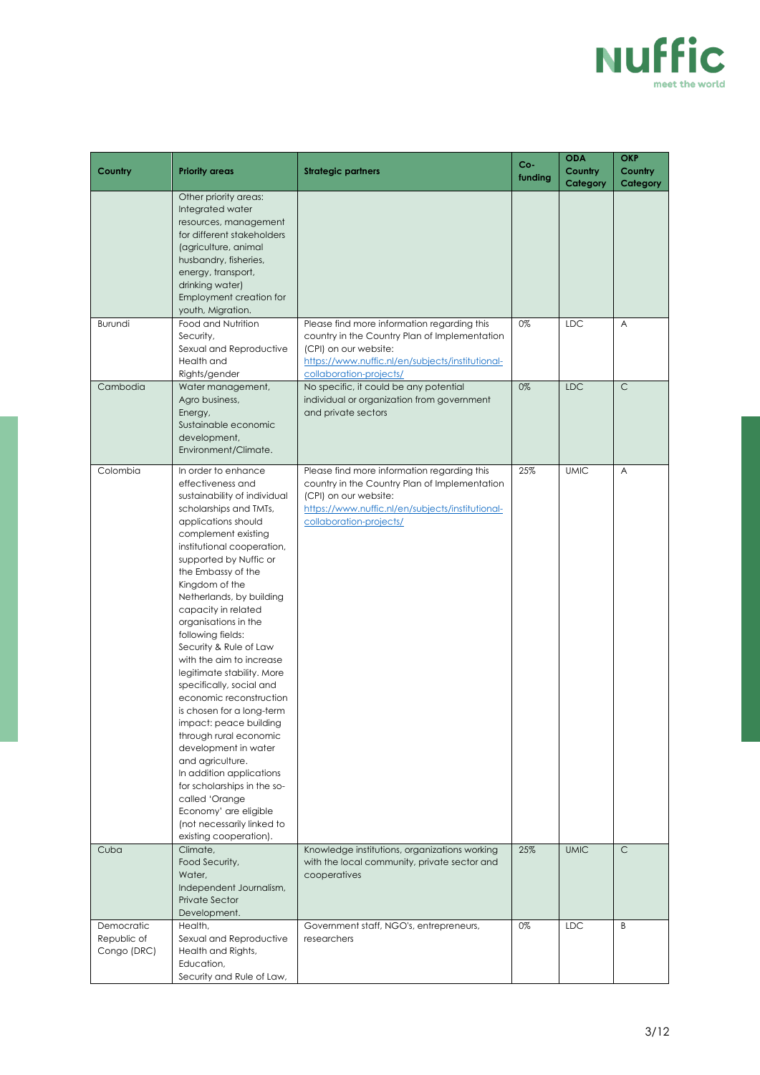

| Country                                  | <b>Priority areas</b>                                                                                                                                                                                                                                                                                                                                                                                                                                                                                                                                                                                                                                                                                                                                                                  | <b>Strategic partners</b>                                                                                                                                                                            | Co-<br>funding | <b>ODA</b><br>Country<br>Category | <b>OKP</b><br>Country<br>Category |
|------------------------------------------|----------------------------------------------------------------------------------------------------------------------------------------------------------------------------------------------------------------------------------------------------------------------------------------------------------------------------------------------------------------------------------------------------------------------------------------------------------------------------------------------------------------------------------------------------------------------------------------------------------------------------------------------------------------------------------------------------------------------------------------------------------------------------------------|------------------------------------------------------------------------------------------------------------------------------------------------------------------------------------------------------|----------------|-----------------------------------|-----------------------------------|
|                                          | Other priority areas:<br>Integrated water<br>resources, management<br>for different stakeholders<br>(agriculture, animal<br>husbandry, fisheries,<br>energy, transport,<br>drinking water)<br>Employment creation for<br>youth, Migration.                                                                                                                                                                                                                                                                                                                                                                                                                                                                                                                                             |                                                                                                                                                                                                      |                |                                   |                                   |
| Burundi                                  | Food and Nutrition<br>Security,<br>Sexual and Reproductive<br>Health and<br>Rights/gender                                                                                                                                                                                                                                                                                                                                                                                                                                                                                                                                                                                                                                                                                              | Please find more information regarding this<br>country in the Country Plan of Implementation<br>(CPI) on our website:<br>https://www.nuffic.nl/en/subjects/institutional-<br>collaboration-projects/ | 0%             | <b>LDC</b>                        | A                                 |
| Cambodia                                 | Water management,<br>Agro business,<br>Energy,<br>Sustainable economic<br>development,<br>Environment/Climate.                                                                                                                                                                                                                                                                                                                                                                                                                                                                                                                                                                                                                                                                         | No specific, it could be any potential<br>individual or organization from government<br>and private sectors                                                                                          | 0%             | <b>LDC</b>                        | $\mathsf{C}$                      |
| Colombia                                 | In order to enhance<br>effectiveness and<br>sustainability of individual<br>scholarships and TMTs,<br>applications should<br>complement existing<br>institutional cooperation,<br>supported by Nuffic or<br>the Embassy of the<br>Kingdom of the<br>Netherlands, by building<br>capacity in related<br>organisations in the<br>following fields:<br>Security & Rule of Law<br>with the aim to increase<br>legitimate stability. More<br>specifically, social and<br>economic reconstruction<br>is chosen for a long-term<br>impact: peace building<br>through rural economic<br>development in water<br>and agriculture.<br>In addition applications<br>for scholarships in the so-<br>called 'Orange<br>Economy' are eligible<br>(not necessarily linked to<br>existing cooperation). | Please find more information regarding this<br>country in the Country Plan of Implementation<br>(CPI) on our website:<br>https://www.nuffic.nl/en/subjects/institutional-<br>collaboration-projects/ | 25%            | <b>UMIC</b>                       | A                                 |
| Cuba                                     | Climate,<br>Food Security,<br>Water,<br>Independent Journalism,<br>Private Sector<br>Development.                                                                                                                                                                                                                                                                                                                                                                                                                                                                                                                                                                                                                                                                                      | Knowledge institutions, organizations working<br>with the local community, private sector and<br>cooperatives                                                                                        | 25%            | <b>UMIC</b>                       | $\mathsf{C}$                      |
| Democratic<br>Republic of<br>Congo (DRC) | Health,<br>Sexual and Reproductive<br>Health and Rights,<br>Education,<br>Security and Rule of Law,                                                                                                                                                                                                                                                                                                                                                                                                                                                                                                                                                                                                                                                                                    | Government staff, NGO's, entrepreneurs,<br>researchers                                                                                                                                               | 0%             | <b>LDC</b>                        | B                                 |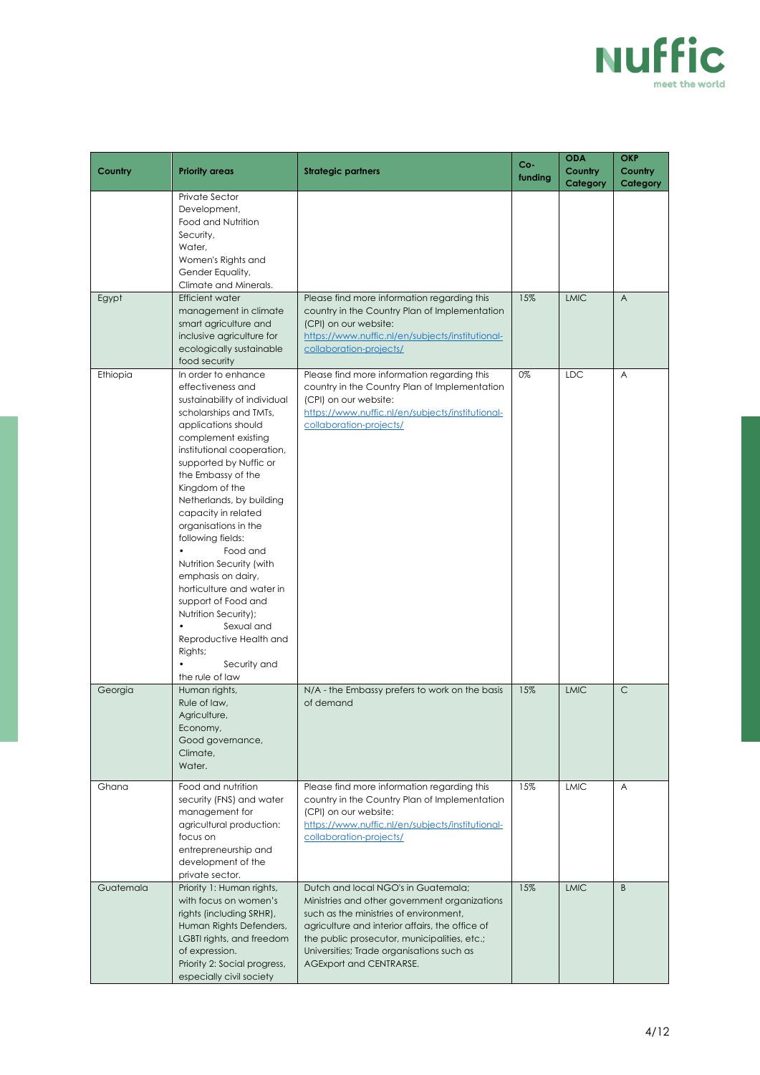

| Country   | <b>Priority areas</b>                                                                                                                                                                                                                                                                                                                                                                                                                                                                                                                                                                                       | <b>Strategic partners</b>                                                                                                                                                                                                                                                                                 | $Co-$<br>funding | <b>ODA</b><br>Country<br>Category | <b>OKP</b><br>Country<br>Category |
|-----------|-------------------------------------------------------------------------------------------------------------------------------------------------------------------------------------------------------------------------------------------------------------------------------------------------------------------------------------------------------------------------------------------------------------------------------------------------------------------------------------------------------------------------------------------------------------------------------------------------------------|-----------------------------------------------------------------------------------------------------------------------------------------------------------------------------------------------------------------------------------------------------------------------------------------------------------|------------------|-----------------------------------|-----------------------------------|
|           | Private Sector<br>Development,<br>Food and Nutrition<br>Security,<br>Water,<br>Women's Rights and<br>Gender Equality,<br>Climate and Minerals.                                                                                                                                                                                                                                                                                                                                                                                                                                                              |                                                                                                                                                                                                                                                                                                           |                  |                                   |                                   |
| Egypt     | <b>Efficient water</b><br>management in climate<br>smart agriculture and<br>inclusive agriculture for<br>ecologically sustainable<br>food security                                                                                                                                                                                                                                                                                                                                                                                                                                                          | Please find more information regarding this<br>country in the Country Plan of Implementation<br>(CPI) on our website:<br>https://www.nuffic.nl/en/subjects/institutional-<br>collaboration-projects/                                                                                                      | 15%              | <b>LMIC</b>                       | $\overline{A}$                    |
| Ethiopia  | In order to enhance<br>effectiveness and<br>sustainability of individual<br>scholarships and TMTs,<br>applications should<br>complement existing<br>institutional cooperation,<br>supported by Nuffic or<br>the Embassy of the<br>Kingdom of the<br>Netherlands, by building<br>capacity in related<br>organisations in the<br>following fields:<br>Food and<br>$\bullet$<br>Nutrition Security (with<br>emphasis on dairy,<br>horticulture and water in<br>support of Food and<br>Nutrition Security);<br>Sexual and<br>Reproductive Health and<br>Rights;<br>Security and<br>$\bullet$<br>the rule of law | Please find more information regarding this<br>country in the Country Plan of Implementation<br>(CPI) on our website:<br>https://www.nuffic.nl/en/subjects/institutional-<br>collaboration-projects/                                                                                                      | 0%               | <b>LDC</b>                        | A                                 |
| Georgia   | Human rights,<br>Rule of law,<br>Agriculture,<br>Economy,<br>Good governance,<br>Climate,<br>Water.                                                                                                                                                                                                                                                                                                                                                                                                                                                                                                         | N/A - the Embassy prefers to work on the basis<br>of demand                                                                                                                                                                                                                                               | 15%              | <b>LMIC</b>                       | $\mathsf{C}$                      |
| Ghana     | Food and nutrition<br>security (FNS) and water<br>management for<br>agricultural production:<br>focus on<br>entrepreneurship and<br>development of the<br>private sector.                                                                                                                                                                                                                                                                                                                                                                                                                                   | Please find more information regarding this<br>country in the Country Plan of Implementation<br>(CPI) on our website:<br>https://www.nuffic.nl/en/subjects/institutional-<br>collaboration-projects/                                                                                                      | 15%              | <b>LMIC</b>                       | $\overline{A}$                    |
| Guatemala | Priority 1: Human rights,<br>with focus on women's<br>rights (including SRHR),<br>Human Rights Defenders,<br>LGBTI rights, and freedom<br>of expression.<br>Priority 2: Social progress,<br>especially civil society                                                                                                                                                                                                                                                                                                                                                                                        | Dutch and local NGO's in Guatemala;<br>Ministries and other government organizations<br>such as the ministries of environment,<br>agriculture and interior affairs, the office of<br>the public prosecutor, municipalities, etc.;<br>Universities; Trade organisations such as<br>AGExport and CENTRARSE. | 15%              | <b>LMIC</b>                       | B                                 |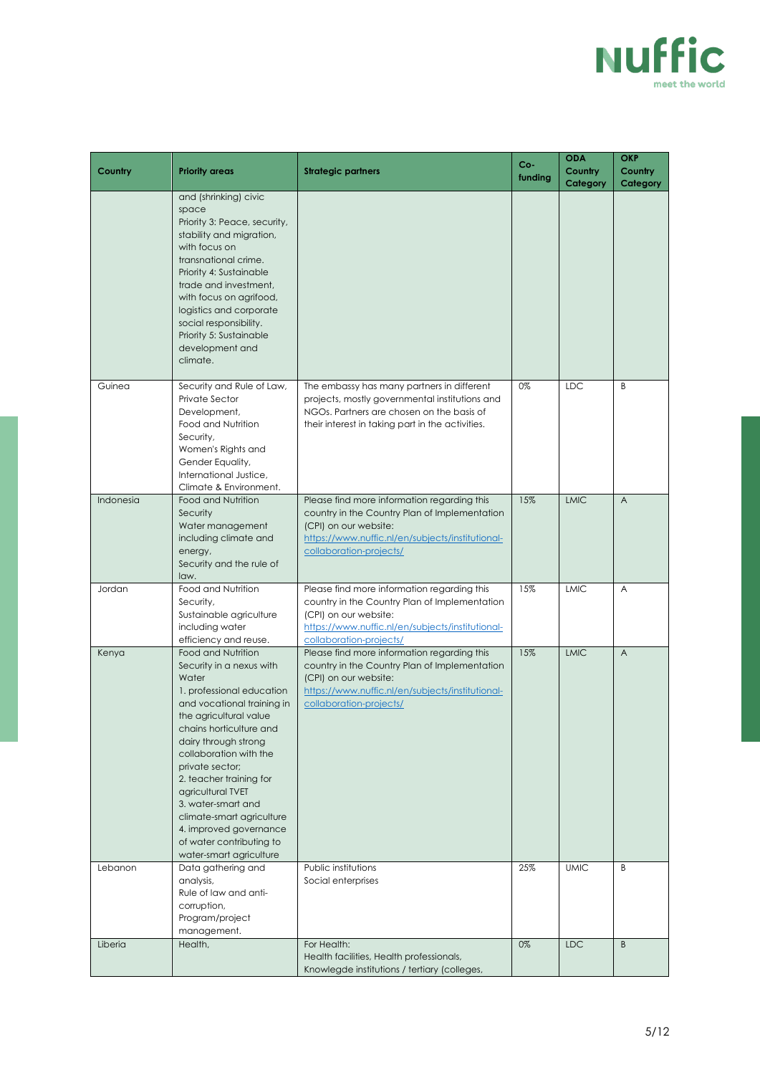

| Country          | <b>Priority areas</b>                                                                                                                                                                                                                                                                                                                                                                                                                                                                                       | <b>Strategic partners</b>                                                                                                                                                                                                                         | Co-<br>funding | <b>ODA</b><br>Country<br>Category | <b>OKP</b><br>Country<br>Category |
|------------------|-------------------------------------------------------------------------------------------------------------------------------------------------------------------------------------------------------------------------------------------------------------------------------------------------------------------------------------------------------------------------------------------------------------------------------------------------------------------------------------------------------------|---------------------------------------------------------------------------------------------------------------------------------------------------------------------------------------------------------------------------------------------------|----------------|-----------------------------------|-----------------------------------|
|                  | and (shrinking) civic<br>space<br>Priority 3: Peace, security,<br>stability and migration,<br>with focus on<br>transnational crime.<br>Priority 4: Sustainable<br>trade and investment,<br>with focus on agrifood,<br>logistics and corporate<br>social responsibility.<br>Priority 5: Sustainable<br>development and<br>climate.                                                                                                                                                                           |                                                                                                                                                                                                                                                   |                |                                   |                                   |
| Guinea           | Security and Rule of Law,<br>Private Sector<br>Development,<br>Food and Nutrition<br>Security,<br>Women's Rights and<br>Gender Equality,<br>International Justice.<br>Climate & Environment.                                                                                                                                                                                                                                                                                                                | The embassy has many partners in different<br>projects, mostly governmental institutions and<br>NGOs, Partners are chosen on the basis of<br>their interest in taking part in the activities.                                                     | 0%             | <b>LDC</b>                        | B                                 |
| Indonesia        | Food and Nutrition<br>Security<br>Water management<br>including climate and<br>energy,<br>Security and the rule of<br>law.                                                                                                                                                                                                                                                                                                                                                                                  | Please find more information regarding this<br>country in the Country Plan of Implementation<br>(CPI) on our website:<br>https://www.nuffic.nl/en/subjects/institutional-<br>collaboration-projects/                                              | 15%            | <b>LMIC</b>                       | $\overline{A}$                    |
| Jordan           | Food and Nutrition<br>Security,<br>Sustainable agriculture<br>including water<br>efficiency and reuse.                                                                                                                                                                                                                                                                                                                                                                                                      | Please find more information regarding this<br>country in the Country Plan of Implementation<br>(CPI) on our website:<br>https://www.nuffic.nl/en/subjects/institutional-<br>collaboration-projects/                                              | 15%            | <b>LMIC</b>                       | A                                 |
| Kenya<br>Lebanon | Food and Nutrition<br>Security in a nexus with<br>Water<br>1. professional education<br>and vocational training in<br>the agricultural value<br>chains horticulture and<br>dairy through strong<br>collaboration with the<br>private sector;<br>2. teacher training for<br>agricultural TVET<br>3. water-smart and<br>climate-smart agriculture<br>4. improved governance<br>of water contributing to<br>water-smart agriculture<br>Data gathering and<br>analysis,<br>Rule of law and anti-<br>corruption, | Please find more information regarding this<br>country in the Country Plan of Implementation<br>(CPI) on our website:<br>https://www.nuffic.nl/en/subjects/institutional-<br>collaboration-projects/<br>Public institutions<br>Social enterprises | 15%<br>25%     | <b>LMIC</b><br><b>UMIC</b>        | $\overline{A}$<br>B               |
| Liberia          | Program/project<br>management.<br>Health,                                                                                                                                                                                                                                                                                                                                                                                                                                                                   | For Health:                                                                                                                                                                                                                                       | 0%             | <b>LDC</b>                        | B                                 |
|                  |                                                                                                                                                                                                                                                                                                                                                                                                                                                                                                             | Health facilities, Health professionals,<br>Knowlegde institutions / tertiary (colleges,                                                                                                                                                          |                |                                   |                                   |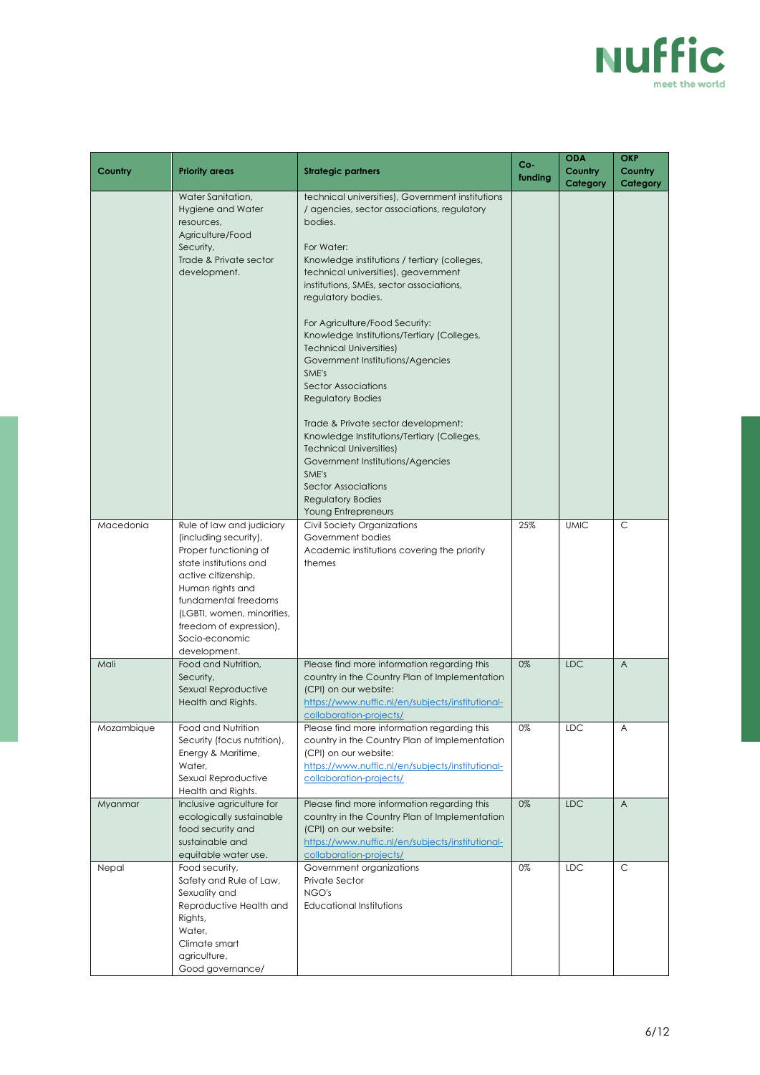

| Country    | <b>Priority areas</b>                                                                                                                                                                                                                                               | <b>Strategic partners</b>                                                                                                                                                                                                                                                                                                                                                                                                                                                                                                                                                                                                                                                                                                                                 | Co-<br>funding | <b>ODA</b><br>Country<br>Category | <b>OKP</b><br>Country<br>Category |
|------------|---------------------------------------------------------------------------------------------------------------------------------------------------------------------------------------------------------------------------------------------------------------------|-----------------------------------------------------------------------------------------------------------------------------------------------------------------------------------------------------------------------------------------------------------------------------------------------------------------------------------------------------------------------------------------------------------------------------------------------------------------------------------------------------------------------------------------------------------------------------------------------------------------------------------------------------------------------------------------------------------------------------------------------------------|----------------|-----------------------------------|-----------------------------------|
|            | Water Sanitation,<br>Hygiene and Water<br>resources.<br>Agriculture/Food<br>Security,<br>Trade & Private sector<br>development.                                                                                                                                     | technical universities), Government institutions<br>/ agencies, sector associations, regulatory<br>bodies.<br>For Water:<br>Knowledge institutions / tertiary (colleges,<br>technical universities), geovernment<br>institutions, SMEs, sector associations,<br>regulatory bodies.<br>For Agriculture/Food Security:<br>Knowledge Institutions/Tertiary (Colleges,<br><b>Technical Universities)</b><br>Government Institutions/Agencies<br>SME's<br><b>Sector Associations</b><br>Regulatory Bodies<br>Trade & Private sector development:<br>Knowledge Institutions/Tertiary (Colleges,<br><b>Technical Universities)</b><br>Government Institutions/Agencies<br>SME's<br><b>Sector Associations</b><br><b>Regulatory Bodies</b><br>Young Entrepreneurs |                |                                   |                                   |
| Macedonia  | Rule of law and judiciary<br>(including security),<br>Proper functioning of<br>state institutions and<br>active citizenship,<br>Human rights and<br>fundamental freedoms<br>(LGBTI, women, minorities,<br>freedom of expression),<br>Socio-economic<br>development. | Civil Society Organizations<br>Government bodies<br>Academic institutions covering the priority<br>themes                                                                                                                                                                                                                                                                                                                                                                                                                                                                                                                                                                                                                                                 | 25%            | <b>UMIC</b>                       | C                                 |
| Mali       | Food and Nutrition,<br>Security,<br>Sexual Reproductive<br>Health and Rights.                                                                                                                                                                                       | Please find more information regarding this<br>country in the Country Plan of Implementation<br>(CPI) on our website:<br>https://www.nuffic.nl/en/subjects/institutional-<br>collaboration-projects/                                                                                                                                                                                                                                                                                                                                                                                                                                                                                                                                                      | 0%             | <b>LDC</b>                        | A                                 |
| Mozambique | Food and Nutrition<br>Security (focus nutrition),<br>Energy & Maritime,<br>Water.<br>Sexual Reproductive<br>Health and Rights.                                                                                                                                      | Please find more information regarding this<br>country in the Country Plan of Implementation<br>(CPI) on our website:<br>https://www.nuffic.nl/en/subjects/institutional-<br>collaboration-projects/                                                                                                                                                                                                                                                                                                                                                                                                                                                                                                                                                      | 0%             | <b>LDC</b>                        | A                                 |
| Myanmar    | Inclusive agriculture for<br>ecologically sustainable<br>food security and<br>sustainable and<br>equitable water use.                                                                                                                                               | Please find more information regarding this<br>country in the Country Plan of Implementation<br>(CPI) on our website:<br>https://www.nuffic.nl/en/subjects/institutional-<br>collaboration-projects/                                                                                                                                                                                                                                                                                                                                                                                                                                                                                                                                                      | 0%             | <b>LDC</b>                        | A                                 |
| Nepal      | Food security,<br>Safety and Rule of Law,<br>Sexuality and<br>Reproductive Health and<br>Rights,<br>Water,<br>Climate smart<br>agriculture,<br>Good governance/                                                                                                     | Government organizations<br>Private Sector<br>NGO's<br><b>Educational Institutions</b>                                                                                                                                                                                                                                                                                                                                                                                                                                                                                                                                                                                                                                                                    | 0%             | <b>LDC</b>                        | C                                 |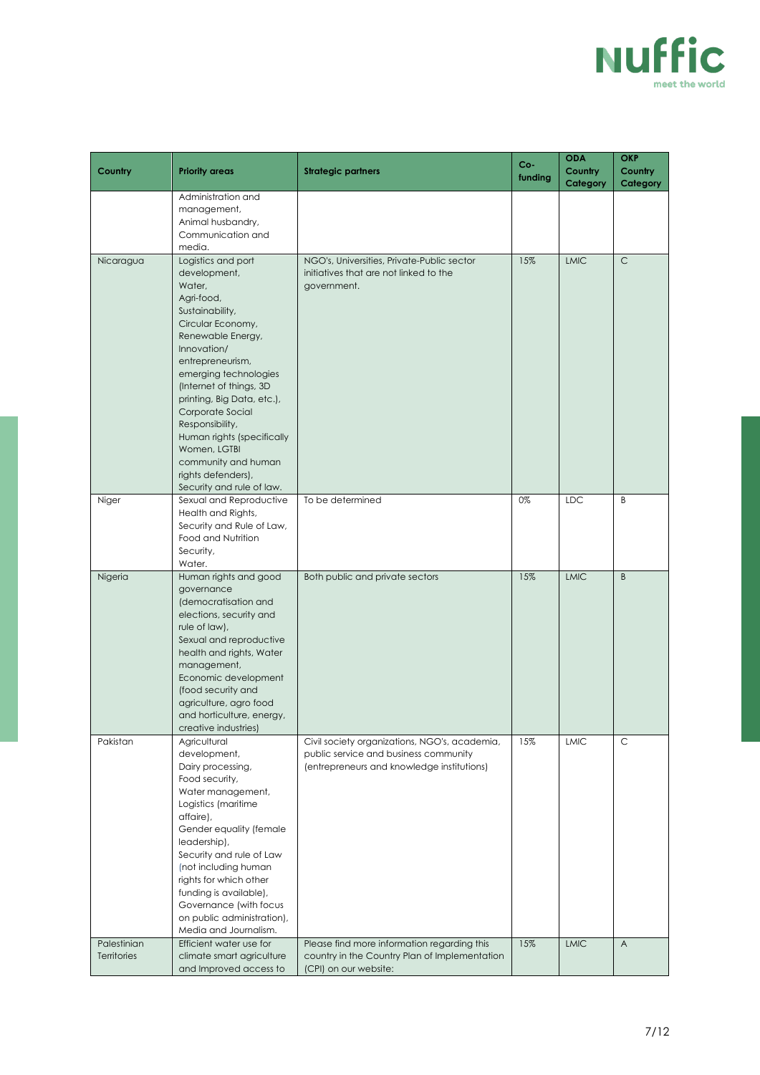

| Country                    | <b>Priority areas</b>                                                                                                                                                                                                                                                                                                                                                                                       | <b>Strategic partners</b>                                                                                                            | $Co-$<br>funding | <b>ODA</b><br>Country<br>Category | <b>OKP</b><br>Country<br>Category |
|----------------------------|-------------------------------------------------------------------------------------------------------------------------------------------------------------------------------------------------------------------------------------------------------------------------------------------------------------------------------------------------------------------------------------------------------------|--------------------------------------------------------------------------------------------------------------------------------------|------------------|-----------------------------------|-----------------------------------|
|                            | Administration and<br>management,<br>Animal husbandry,<br>Communication and<br>media.                                                                                                                                                                                                                                                                                                                       |                                                                                                                                      |                  |                                   |                                   |
| Nicaragua                  | Logistics and port<br>development,<br>Water,<br>Agri-food,<br>Sustainability,<br>Circular Economy,<br>Renewable Energy,<br>Innovation/<br>entrepreneurism,<br>emerging technologies<br>(Internet of things, 3D<br>printing, Big Data, etc.),<br>Corporate Social<br>Responsibility,<br>Human rights (specifically<br>Women, LGTBI<br>community and human<br>rights defenders),<br>Security and rule of law. | NGO's, Universities, Private-Public sector<br>initiatives that are not linked to the<br>government.                                  | 15%              | <b>LMIC</b>                       | $\mathsf C$                       |
| Niger                      | Sexual and Reproductive<br>Health and Rights,<br>Security and Rule of Law,<br>Food and Nutrition<br>Security,<br>Water.                                                                                                                                                                                                                                                                                     | To be determined                                                                                                                     | 0%               | <b>LDC</b>                        | B                                 |
| Nigeria                    | Human rights and good<br>governance<br>(democratisation and<br>elections, security and<br>rule of law),<br>Sexual and reproductive<br>health and rights, Water<br>management,<br>Economic development<br>(food security and<br>agriculture, agro food<br>and horticulture, energy,<br>creative industries)                                                                                                  | Both public and private sectors                                                                                                      | 15%              | <b>LMIC</b>                       | B                                 |
| Pakistan                   | Agricultural<br>development,<br>Dairy processing,<br>Food security,<br>Water management,<br>Logistics (maritime<br>affaire),<br>Gender equality (female<br>leadership),<br>Security and rule of Law<br>(not including human<br>rights for which other<br>funding is available),<br>Governance (with focus<br>on public administration),<br>Media and Journalism.                                            | Civil society organizations, NGO's, academia,<br>public service and business community<br>(entrepreneurs and knowledge institutions) | 15%              | <b>LMIC</b>                       | C                                 |
| Palestinian<br>Territories | Efficient water use for<br>climate smart agriculture<br>and Improved access to                                                                                                                                                                                                                                                                                                                              | Please find more information regarding this<br>country in the Country Plan of Implementation<br>(CPI) on our website:                | 15%              | <b>LMIC</b>                       | $\overline{A}$                    |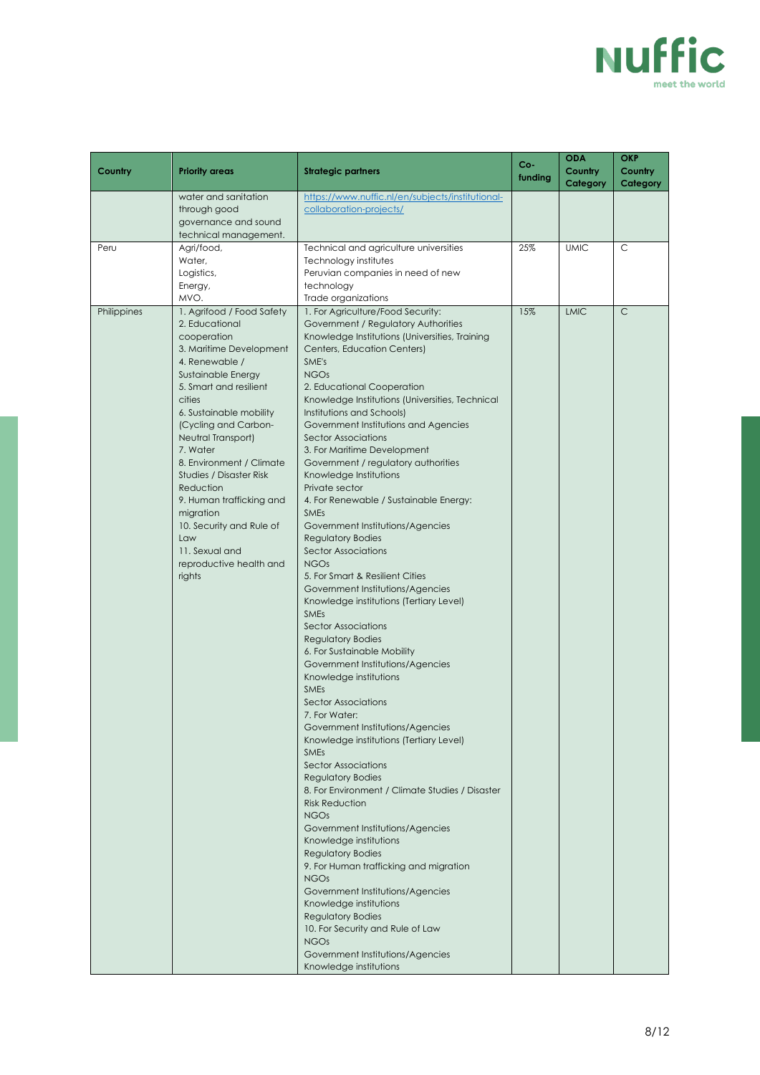

| Country     | <b>Priority areas</b>                                                                                                                                                                                                                                                                                                                                                                                                                                                | <b>Strategic partners</b>                                                                                                                                                                                                                                                                                                                                                                                                                                                                                                                                                                                                                                                                                                                                                                                                                                                                                                                                                                                                                                                                                                                                                                                                                                                                                                                                                                                                                                                                                                                                                                                       | Co-<br>funding | <b>ODA</b><br>Country | <b>OKP</b><br>Country |
|-------------|----------------------------------------------------------------------------------------------------------------------------------------------------------------------------------------------------------------------------------------------------------------------------------------------------------------------------------------------------------------------------------------------------------------------------------------------------------------------|-----------------------------------------------------------------------------------------------------------------------------------------------------------------------------------------------------------------------------------------------------------------------------------------------------------------------------------------------------------------------------------------------------------------------------------------------------------------------------------------------------------------------------------------------------------------------------------------------------------------------------------------------------------------------------------------------------------------------------------------------------------------------------------------------------------------------------------------------------------------------------------------------------------------------------------------------------------------------------------------------------------------------------------------------------------------------------------------------------------------------------------------------------------------------------------------------------------------------------------------------------------------------------------------------------------------------------------------------------------------------------------------------------------------------------------------------------------------------------------------------------------------------------------------------------------------------------------------------------------------|----------------|-----------------------|-----------------------|
|             | water and sanitation<br>through good<br>governance and sound<br>technical management.                                                                                                                                                                                                                                                                                                                                                                                | https://www.nuffic.nl/en/subjects/institutional-<br>collaboration-projects/                                                                                                                                                                                                                                                                                                                                                                                                                                                                                                                                                                                                                                                                                                                                                                                                                                                                                                                                                                                                                                                                                                                                                                                                                                                                                                                                                                                                                                                                                                                                     |                | Category              | Category              |
| Peru        | Agri/food,<br>Water,<br>Logistics,<br>Energy,<br>MVO.                                                                                                                                                                                                                                                                                                                                                                                                                | Technical and agriculture universities<br>Technology institutes<br>Peruvian companies in need of new<br>technology<br>Trade organizations                                                                                                                                                                                                                                                                                                                                                                                                                                                                                                                                                                                                                                                                                                                                                                                                                                                                                                                                                                                                                                                                                                                                                                                                                                                                                                                                                                                                                                                                       | 25%            | <b>UMIC</b>           | $\mathsf{C}$          |
| Philippines | 1. Agrifood / Food Safety<br>2. Educational<br>cooperation<br>3. Maritime Development<br>4. Renewable /<br>Sustainable Energy<br>5. Smart and resilient<br>cities<br>6. Sustainable mobility<br>(Cycling and Carbon-<br>Neutral Transport)<br>7. Water<br>8. Environment / Climate<br><b>Studies / Disaster Risk</b><br>Reduction<br>9. Human trafficking and<br>migration<br>10. Security and Rule of<br>Law<br>11. Sexual and<br>reproductive health and<br>rights | 1. For Agriculture/Food Security:<br>Government / Regulatory Authorities<br>Knowledge Institutions (Universities, Training<br>Centers, Education Centers)<br>SME's<br><b>NGOs</b><br>2. Educational Cooperation<br>Knowledge Institutions (Universities, Technical<br>Institutions and Schools)<br>Government Institutions and Agencies<br><b>Sector Associations</b><br>3. For Maritime Development<br>Government / regulatory authorities<br>Knowledge Institutions<br>Private sector<br>4. For Renewable / Sustainable Energy:<br><b>SMEs</b><br>Government Institutions/Agencies<br>Regulatory Bodies<br><b>Sector Associations</b><br><b>NGOs</b><br>5. For Smart & Resilient Cities<br>Government Institutions/Agencies<br>Knowledge institutions (Tertiary Level)<br><b>SMEs</b><br><b>Sector Associations</b><br>Regulatory Bodies<br>6. For Sustainable Mobility<br>Government Institutions/Agencies<br>Knowledge institutions<br><b>SMEs</b><br><b>Sector Associations</b><br>7. For Water:<br>Government Institutions/Agencies<br>Knowledge institutions (Tertiary Level)<br><b>SMEs</b><br><b>Sector Associations</b><br><b>Regulatory Bodies</b><br>8. For Environment / Climate Studies / Disaster<br><b>Risk Reduction</b><br><b>NGOs</b><br>Government Institutions/Agencies<br>Knowledge institutions<br><b>Regulatory Bodies</b><br>9. For Human trafficking and migration<br><b>NGOs</b><br>Government Institutions/Agencies<br>Knowledge institutions<br>Regulatory Bodies<br>10. For Security and Rule of Law<br><b>NGOs</b><br>Government Institutions/Agencies<br>Knowledge institutions | 15%            | <b>LMIC</b>           | $\subset$             |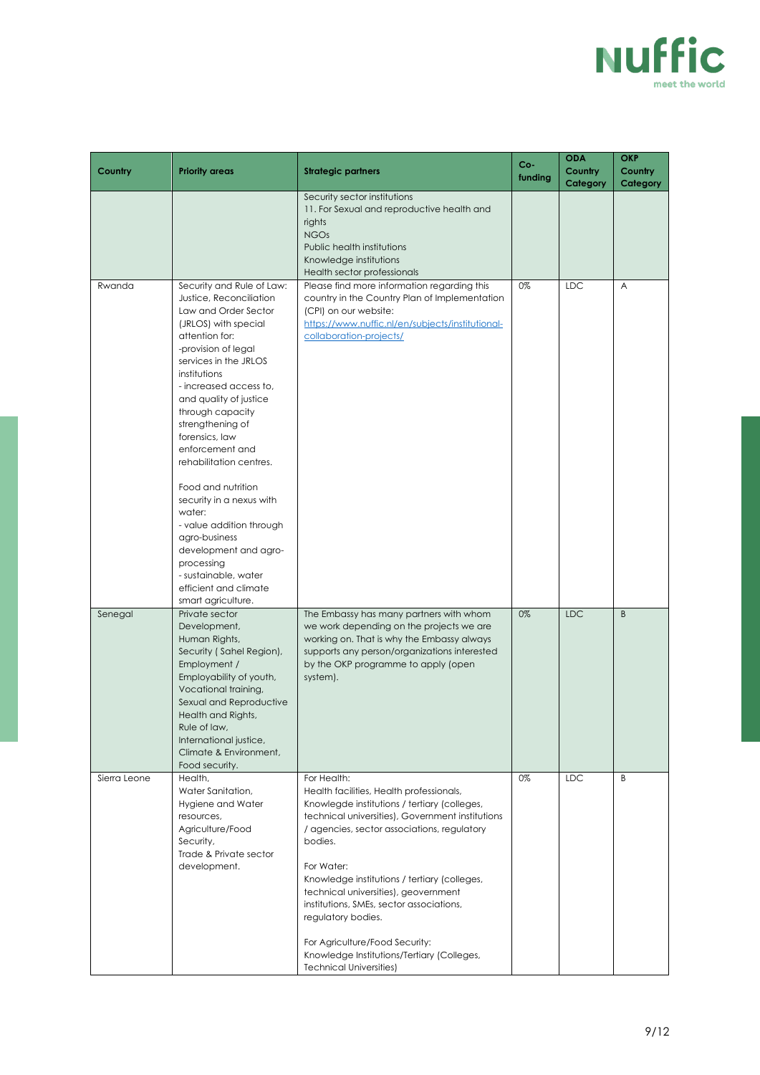

| Country      | <b>Priority areas</b>                                                                                                                                                                                                                                                                                                                                                                                                                                                                                                                                                     | <b>Strategic partners</b>                                                                                                                                                                                                                                                                                                                                                                                                                                                                                       | Co-<br>funding | <b>ODA</b><br>Country<br>Category | <b>OKP</b><br>Country<br>Category |
|--------------|---------------------------------------------------------------------------------------------------------------------------------------------------------------------------------------------------------------------------------------------------------------------------------------------------------------------------------------------------------------------------------------------------------------------------------------------------------------------------------------------------------------------------------------------------------------------------|-----------------------------------------------------------------------------------------------------------------------------------------------------------------------------------------------------------------------------------------------------------------------------------------------------------------------------------------------------------------------------------------------------------------------------------------------------------------------------------------------------------------|----------------|-----------------------------------|-----------------------------------|
|              |                                                                                                                                                                                                                                                                                                                                                                                                                                                                                                                                                                           | Security sector institutions<br>11. For Sexual and reproductive health and<br>rights<br><b>NGOs</b><br>Public health institutions<br>Knowledge institutions<br>Health sector professionals                                                                                                                                                                                                                                                                                                                      |                |                                   |                                   |
| Rwanda       | Security and Rule of Law:<br>Justice, Reconciliation<br>Law and Order Sector<br>(JRLOS) with special<br>attention for:<br>-provision of legal<br>services in the JRLOS<br>institutions<br>- increased access to,<br>and quality of justice<br>through capacity<br>strengthening of<br>forensics, law<br>enforcement and<br>rehabilitation centres.<br>Food and nutrition<br>security in a nexus with<br>water:<br>- value addition through<br>agro-business<br>development and agro-<br>processing<br>- sustainable, water<br>efficient and climate<br>smart agriculture. | Please find more information regarding this<br>country in the Country Plan of Implementation<br>(CPI) on our website:<br>https://www.nuffic.nl/en/subjects/institutional-<br>collaboration-projects/                                                                                                                                                                                                                                                                                                            | 0%             | <b>LDC</b>                        | A                                 |
| Senegal      | Private sector<br>Development,<br>Human Rights,<br>Security (Sahel Region),<br>Employment /<br>Employability of youth,<br>Vocational training,<br>Sexual and Reproductive<br>Health and Rights,<br>Rule of law,<br>International justice,<br>Climate & Environment,<br>Food security.                                                                                                                                                                                                                                                                                     | The Embassy has many partners with whom<br>we work depending on the projects we are<br>working on. That is why the Embassy always<br>supports any person/organizations interested<br>by the OKP programme to apply (open<br>system).                                                                                                                                                                                                                                                                            | 0%             | <b>LDC</b>                        | $\overline{B}$                    |
| Sierra Leone | Health,<br>Water Sanitation,<br>Hygiene and Water<br>resources,<br>Agriculture/Food<br>Security,<br>Trade & Private sector<br>development.                                                                                                                                                                                                                                                                                                                                                                                                                                | For Health:<br>Health facilities, Health professionals,<br>Knowlegde institutions / tertiary (colleges,<br>technical universities), Government institutions<br>/ agencies, sector associations, regulatory<br>bodies.<br>For Water:<br>Knowledge institutions / tertiary (colleges,<br>technical universities), geovernment<br>institutions, SMEs, sector associations,<br>regulatory bodies.<br>For Agriculture/Food Security:<br>Knowledge Institutions/Tertiary (Colleges,<br><b>Technical Universities)</b> | 0%             | <b>LDC</b>                        | B                                 |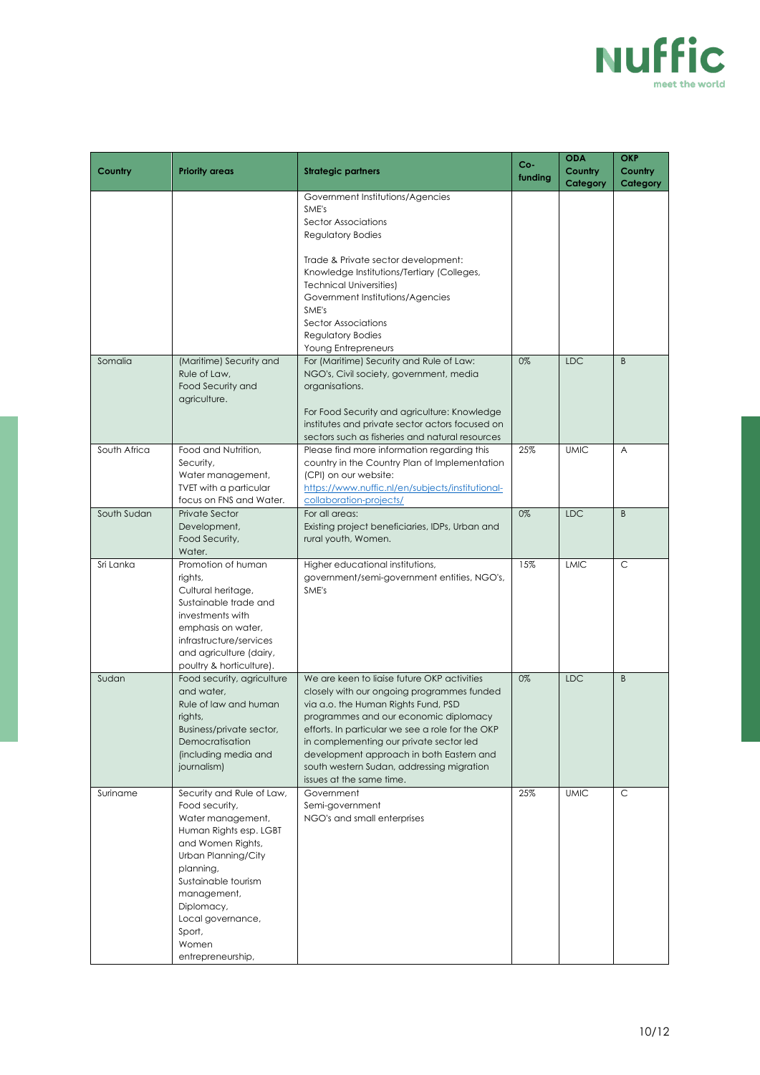

| Country      | <b>Priority areas</b>                                                                                                                                                                                                                                                | <b>Strategic partners</b>                                                                                                                                                                                                                                                                                                                                                                     | Co-<br>funding | <b>ODA</b><br>Country<br>Category | <b>OKP</b><br>Country<br>Category |
|--------------|----------------------------------------------------------------------------------------------------------------------------------------------------------------------------------------------------------------------------------------------------------------------|-----------------------------------------------------------------------------------------------------------------------------------------------------------------------------------------------------------------------------------------------------------------------------------------------------------------------------------------------------------------------------------------------|----------------|-----------------------------------|-----------------------------------|
|              |                                                                                                                                                                                                                                                                      | Government Institutions/Agencies<br>SME's<br>Sector Associations<br>Regulatory Bodies<br>Trade & Private sector development:                                                                                                                                                                                                                                                                  |                |                                   |                                   |
|              |                                                                                                                                                                                                                                                                      | Knowledge Institutions/Tertiary (Colleges,<br><b>Technical Universities)</b><br>Government Institutions/Agencies<br>SME's<br><b>Sector Associations</b><br><b>Regulatory Bodies</b>                                                                                                                                                                                                           |                |                                   |                                   |
| Somalia      | (Maritime) Security and<br>Rule of Law,<br>Food Security and<br>agriculture.                                                                                                                                                                                         | Young Entrepreneurs<br>For (Maritime) Security and Rule of Law:<br>NGO's, Civil society, government, media<br>organisations.<br>For Food Security and agriculture: Knowledge<br>institutes and private sector actors focused on<br>sectors such as fisheries and natural resources                                                                                                            | 0%             | <b>LDC</b>                        | B                                 |
| South Africa | Food and Nutrition,<br>Security,<br>Water management,<br>TVET with a particular<br>focus on FNS and Water.                                                                                                                                                           | Please find more information regarding this<br>country in the Country Plan of Implementation<br>(CPI) on our website:<br>https://www.nuffic.nl/en/subjects/institutional-<br>collaboration-projects/                                                                                                                                                                                          | 25%            | <b>UMIC</b>                       | A                                 |
| South Sudan  | Private Sector<br>Development,<br>Food Security,<br>Water.                                                                                                                                                                                                           | For all areas:<br>Existing project beneficiaries, IDPs, Urban and<br>rural youth, Women.                                                                                                                                                                                                                                                                                                      | 0%             | <b>LDC</b>                        | B                                 |
| Sri Lanka    | Promotion of human<br>rights,<br>Cultural heritage,<br>Sustainable trade and<br>investments with<br>emphasis on water,<br>infrastructure/services<br>and agriculture (dairy,<br>poultry & horticulture).                                                             | Higher educational institutions,<br>government/semi-government entities, NGO's,<br>SME's                                                                                                                                                                                                                                                                                                      | 15%            | <b>LMIC</b>                       | C                                 |
| Sudan        | Food security, agriculture<br>and water.<br>Rule of law and human<br>rights,<br>Business/private sector,<br>Democratisation<br>(including media and<br>journalism)                                                                                                   | We are keen to liaise future OKP activities<br>closely with our ongoing programmes funded<br>via a.o. the Human Rights Fund, PSD<br>programmes and our economic diplomacy<br>efforts. In particular we see a role for the OKP<br>in complementing our private sector led<br>development approach in both Eastern and<br>south western Sudan, addressing migration<br>issues at the same time. | 0%             | <b>LDC</b>                        | B                                 |
| Suriname     | Security and Rule of Law,<br>Food security,<br>Water management,<br>Human Rights esp. LGBT<br>and Women Rights,<br>Urban Planning/City<br>planning,<br>Sustainable tourism<br>management,<br>Diplomacy,<br>Local governance,<br>Sport,<br>Women<br>entrepreneurship, | Government<br>Semi-government<br>NGO's and small enterprises                                                                                                                                                                                                                                                                                                                                  | 25%            | <b>UMIC</b>                       | C                                 |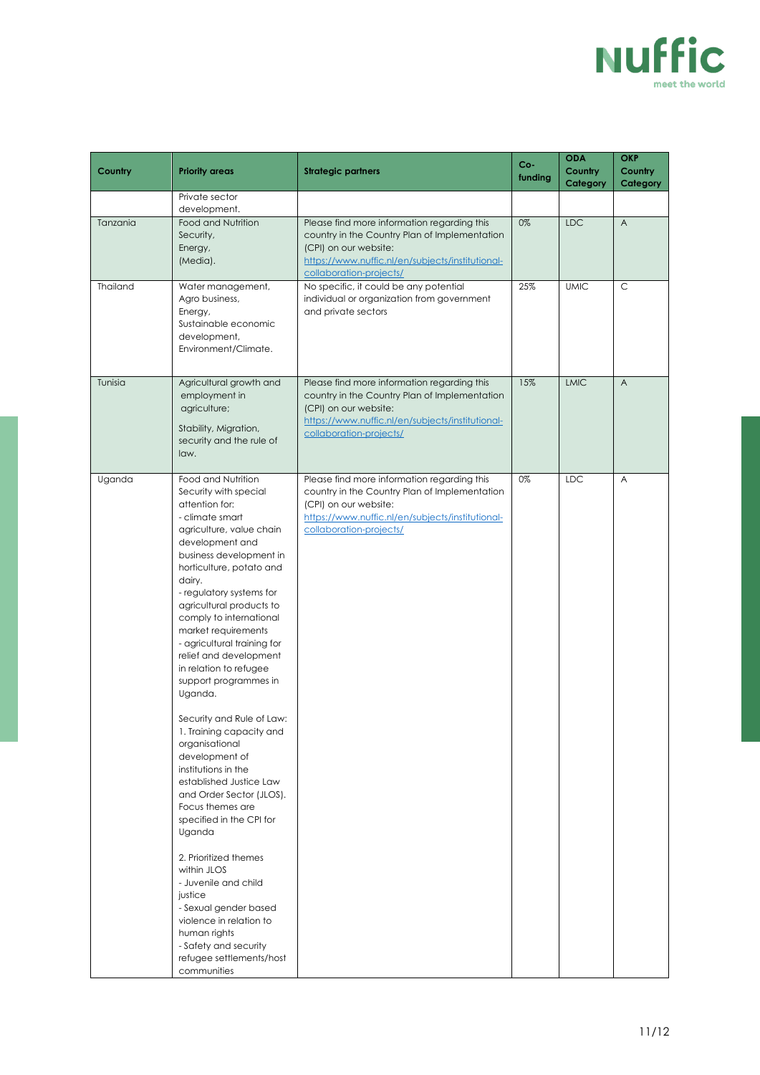

| Country  | <b>Priority areas</b>                                                                                                                                                                                                                                                                                                                                                                                                                                                                                                                                                                                                                                                                                                                                                                                                                                                                     | <b>Strategic partners</b>                                                                                                                                                                            | Co-<br>funding | <b>ODA</b><br>Country<br>Category | <b>OKP</b><br>Country<br>Category |
|----------|-------------------------------------------------------------------------------------------------------------------------------------------------------------------------------------------------------------------------------------------------------------------------------------------------------------------------------------------------------------------------------------------------------------------------------------------------------------------------------------------------------------------------------------------------------------------------------------------------------------------------------------------------------------------------------------------------------------------------------------------------------------------------------------------------------------------------------------------------------------------------------------------|------------------------------------------------------------------------------------------------------------------------------------------------------------------------------------------------------|----------------|-----------------------------------|-----------------------------------|
|          | Private sector<br>development.                                                                                                                                                                                                                                                                                                                                                                                                                                                                                                                                                                                                                                                                                                                                                                                                                                                            |                                                                                                                                                                                                      |                |                                   |                                   |
| Tanzania | Food and Nutrition<br>Security,<br>Energy,<br>(Media).                                                                                                                                                                                                                                                                                                                                                                                                                                                                                                                                                                                                                                                                                                                                                                                                                                    | Please find more information regarding this<br>country in the Country Plan of Implementation<br>(CPI) on our website:<br>https://www.nuffic.nl/en/subjects/institutional-<br>collaboration-projects/ | 0%             | <b>LDC</b>                        | $\overline{A}$                    |
| Thailand | Water management,<br>Agro business,<br>Energy,<br>Sustainable economic<br>development,<br>Environment/Climate.                                                                                                                                                                                                                                                                                                                                                                                                                                                                                                                                                                                                                                                                                                                                                                            | No specific, it could be any potential<br>individual or organization from government<br>and private sectors                                                                                          | 25%            | <b>UMIC</b>                       | C                                 |
| Tunisia  | Agricultural growth and<br>employment in<br>agriculture;<br>Stability, Migration,<br>security and the rule of<br>law.                                                                                                                                                                                                                                                                                                                                                                                                                                                                                                                                                                                                                                                                                                                                                                     | Please find more information regarding this<br>country in the Country Plan of Implementation<br>(CPI) on our website:<br>https://www.nuffic.nl/en/subjects/institutional-<br>collaboration-projects/ | 15%            | <b>LMIC</b>                       | $\overline{A}$                    |
| Uganda   | Food and Nutrition<br>Security with special<br>attention for:<br>- climate smart<br>agriculture, value chain<br>development and<br>business development in<br>horticulture, potato and<br>dairy.<br>- regulatory systems for<br>agricultural products to<br>comply to international<br>market requirements<br>- agricultural training for<br>relief and development<br>in relation to refugee<br>support programmes in<br>Uganda.<br>Security and Rule of Law:<br>1. Training capacity and<br>organisational<br>development of<br>institutions in the<br>established Justice Law<br>and Order Sector (JLOS).<br>Focus themes are<br>specified in the CPI for<br>Uganda<br>2. Prioritized themes<br>within JLOS<br>- Juvenile and child<br>justice<br>- Sexual gender based<br>violence in relation to<br>human rights<br>- Safety and security<br>refugee settlements/host<br>communities | Please find more information regarding this<br>country in the Country Plan of Implementation<br>(CPI) on our website:<br>https://www.nuffic.nl/en/subjects/institutional-<br>collaboration-projects/ | 0%             | <b>LDC</b>                        | A                                 |